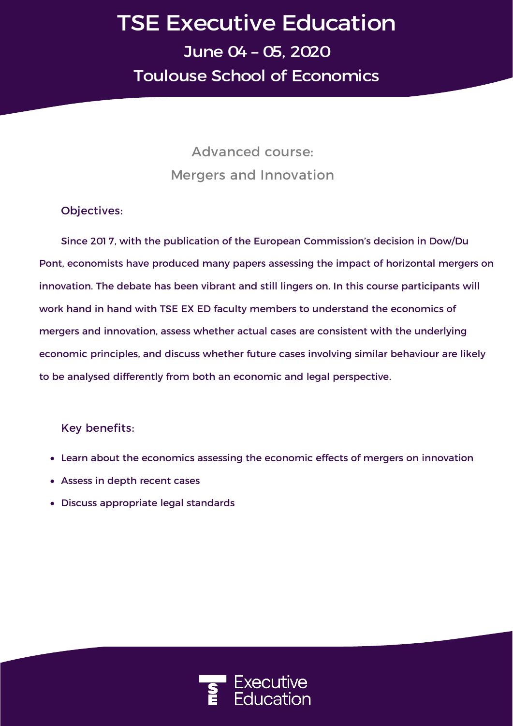## **TSE Executive Education June 04 – 05, 2020 Toulouse School of Economics**

**Advanced course: Mergers and Innovation**

**Objectives:**

Since 201 7, with the publication of the European Commission's decision in Dow/Du Pont, economists have produced many papers assessing the impact of horizontal mergers on innovation. The debate has been vibrant and still lingers on. In this course participants will work hand in hand with TSE EX ED faculty members to understand the economics of mergers and innovation, assess whether actual cases are consistent with the underlying economic principles, and discuss whether future cases involving similar behaviour are likely to be analysed differently from both an economic and legal perspective.

**Key benefits:**

- Learn about the economics assessing the economic effects of mergers on innovation
- Assess in depth recent cases
- Discuss appropriate legal standards